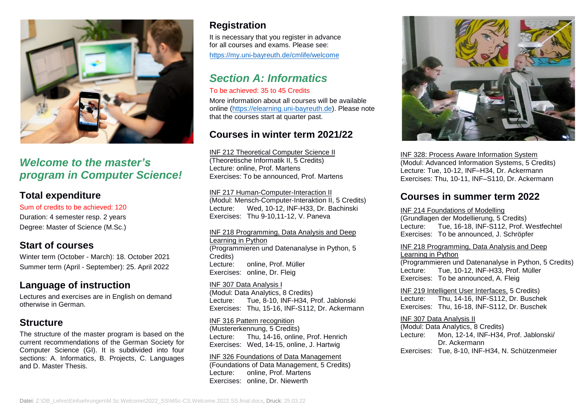

## *Welcome to the master's program in Computer Science!*

### **Total expenditure**

Sum of credits to be achieved: 120 Duration: 4 semester resp. 2 years Degree: Master of Science (M.Sc.)

### **Start of courses**

Winter term (October - March): 18. October 2021 Summer term (April - September): 25. April 2022

## **Language of instruction**

Lectures and exercises are in English on demand otherwise in German.

### **Structure**

The structure of the master program is based on the current recommendations of the German Society for Computer Science (GI). It is subdivided into four sections: A. Informatics, B. Projects, C. Languages and D. Master Thesis.

## **Registration**

It is necessary that you register in advance for all courses and exams. Please see: <https://my.uni-bayreuth.de/cmlife/welcome>

# *Section A: Informatics*

### To be achieved: 35 to 45 Credits

More information about all courses will be available online [\(https://elearning.uni-bayreuth.de\)](https://elearning.uni-bayreuth.de/). Please note that the courses start at quarter past.

## **Courses in winter term 2021/22**

INF 212 Theoretical Computer Science II (Theoretische Informatik II, 5 Credits) Lecture: online, Prof. Martens Exercises: To be announced, Prof. Martens

INF 217 Human-Computer-Interaction II (Modul: Mensch-Computer-Interaktion II, 5 Credits) Lecture: Wed, 10-12, INF-H33, Dr. Bachinski Exercises: Thu 9-10,11-12, V. Paneva

INF 218 Programming, Data Analysis and Deep Learning in Python (Programmieren und Datenanalyse in Python, 5 Credits) Lecture: online, Prof. Müller Exercises: online, Dr. Fleig

INF 307 Data Analysis I (Modul: Data Analytics, 8 Credits) Lecture: Tue, 8-10, INF-H34, Prof. Jablonski Exercises: Thu, 15-16, INF-S112, Dr. Ackermann

INF 316 Pattern recognition (Mustererkennung, 5 Credits) Lecture: Thu, 14-16, online, Prof. Henrich Exercises: Wed, 14-15, online, J. Hartwig

#### INF 326 Foundations of Data Management

(Foundations of Data Management, 5 Credits) Lecture: online, Prof. Martens Exercises: online, Dr. Niewerth



INF 328: Process Aware Information System (Modul: Advanced Information Systems, 5 Credits) Lecture: Tue, 10-12, INF–H34, Dr. Ackermann Exercises: Thu, 10-11, INF–S110, Dr. Ackermann

## **Courses in summer term 2022**

#### INF 214 Foundations of Modelling

(Grundlagen der Modellierung, 5 Credits) Lecture: Tue, 16-18, INF-S112, Prof. Westfechtel Exercises: To be announced, J. Schröpfer

#### INF 218 Programming, Data Analysis and Deep Learning in Python

(Programmieren und Datenanalyse in Python, 5 Credits) Lecture: Tue, 10-12, INF-H33, Prof. Müller Exercises: To be announced, A. Fleig

INF 219 Intelligent User Interfaces, 5 Credits) Lecture: Thu, 14-16, INF-S112, Dr. Buschek Exercises: Thu, 16-18, INF-S112, Dr. Buschek

INF 307 Data Analysis II (Modul: Data Analytics, 8 Credits) Lecture: Mon, 12-14, INF-H34, Prof. Jablonski/ Dr. Ackermann Exercises: Tue, 8-10, INF-H34, N. Schützenmeier